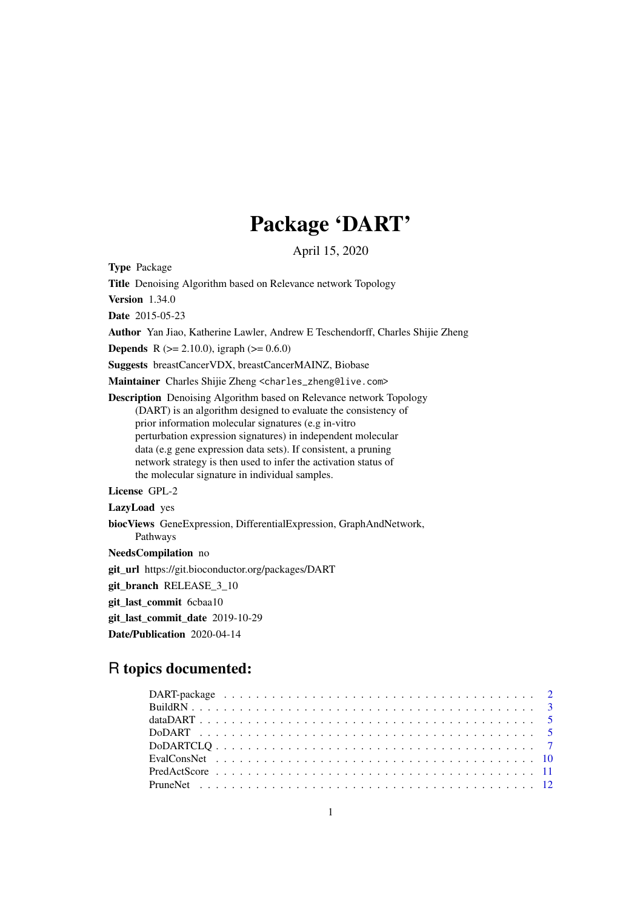## Package 'DART'

April 15, 2020

Type Package

Title Denoising Algorithm based on Relevance network Topology

Version 1.34.0

Date 2015-05-23

Author Yan Jiao, Katherine Lawler, Andrew E Teschendorff, Charles Shijie Zheng

**Depends** R ( $>= 2.10.0$ ), igraph ( $>= 0.6.0$ )

Suggests breastCancerVDX, breastCancerMAINZ, Biobase

Maintainer Charles Shijie Zheng <charles\_zheng@live.com>

Description Denoising Algorithm based on Relevance network Topology (DART) is an algorithm designed to evaluate the consistency of prior information molecular signatures (e.g in-vitro perturbation expression signatures) in independent molecular data (e.g gene expression data sets). If consistent, a pruning network strategy is then used to infer the activation status of the molecular signature in individual samples.

License GPL-2

LazyLoad yes

biocViews GeneExpression, DifferentialExpression, GraphAndNetwork, Pathways

NeedsCompilation no

git\_url https://git.bioconductor.org/packages/DART

git\_branch RELEASE\_3\_10

git last commit 6cbaa10

git last commit date 2019-10-29

Date/Publication 2020-04-14

## R topics documented: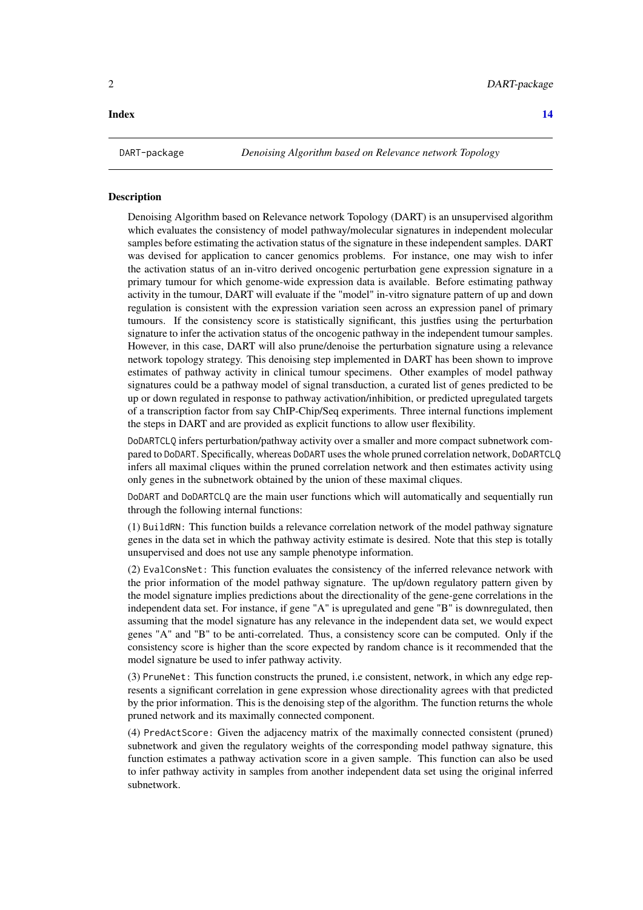<span id="page-1-0"></span>

#### Description

Denoising Algorithm based on Relevance network Topology (DART) is an unsupervised algorithm which evaluates the consistency of model pathway/molecular signatures in independent molecular samples before estimating the activation status of the signature in these independent samples. DART was devised for application to cancer genomics problems. For instance, one may wish to infer the activation status of an in-vitro derived oncogenic perturbation gene expression signature in a primary tumour for which genome-wide expression data is available. Before estimating pathway activity in the tumour, DART will evaluate if the "model" in-vitro signature pattern of up and down regulation is consistent with the expression variation seen across an expression panel of primary tumours. If the consistency score is statistically significant, this justfies using the perturbation signature to infer the activation status of the oncogenic pathway in the independent tumour samples. However, in this case, DART will also prune/denoise the perturbation signature using a relevance network topology strategy. This denoising step implemented in DART has been shown to improve estimates of pathway activity in clinical tumour specimens. Other examples of model pathway signatures could be a pathway model of signal transduction, a curated list of genes predicted to be up or down regulated in response to pathway activation/inhibition, or predicted upregulated targets of a transcription factor from say ChIP-Chip/Seq experiments. Three internal functions implement the steps in DART and are provided as explicit functions to allow user flexibility.

DoDARTCLQ infers perturbation/pathway activity over a smaller and more compact subnetwork compared to DoDART. Specifically, whereas DoDART uses the whole pruned correlation network, DoDARTCLQ infers all maximal cliques within the pruned correlation network and then estimates activity using only genes in the subnetwork obtained by the union of these maximal cliques.

DoDART and DoDARTCLQ are the main user functions which will automatically and sequentially run through the following internal functions:

(1) BuildRN: This function builds a relevance correlation network of the model pathway signature genes in the data set in which the pathway activity estimate is desired. Note that this step is totally unsupervised and does not use any sample phenotype information.

(2) EvalConsNet: This function evaluates the consistency of the inferred relevance network with the prior information of the model pathway signature. The up/down regulatory pattern given by the model signature implies predictions about the directionality of the gene-gene correlations in the independent data set. For instance, if gene "A" is upregulated and gene "B" is downregulated, then assuming that the model signature has any relevance in the independent data set, we would expect genes "A" and "B" to be anti-correlated. Thus, a consistency score can be computed. Only if the consistency score is higher than the score expected by random chance is it recommended that the model signature be used to infer pathway activity.

(3) PruneNet: This function constructs the pruned, i.e consistent, network, in which any edge represents a significant correlation in gene expression whose directionality agrees with that predicted by the prior information. This is the denoising step of the algorithm. The function returns the whole pruned network and its maximally connected component.

(4) PredActScore: Given the adjacency matrix of the maximally connected consistent (pruned) subnetwork and given the regulatory weights of the corresponding model pathway signature, this function estimates a pathway activation score in a given sample. This function can also be used to infer pathway activity in samples from another independent data set using the original inferred subnetwork.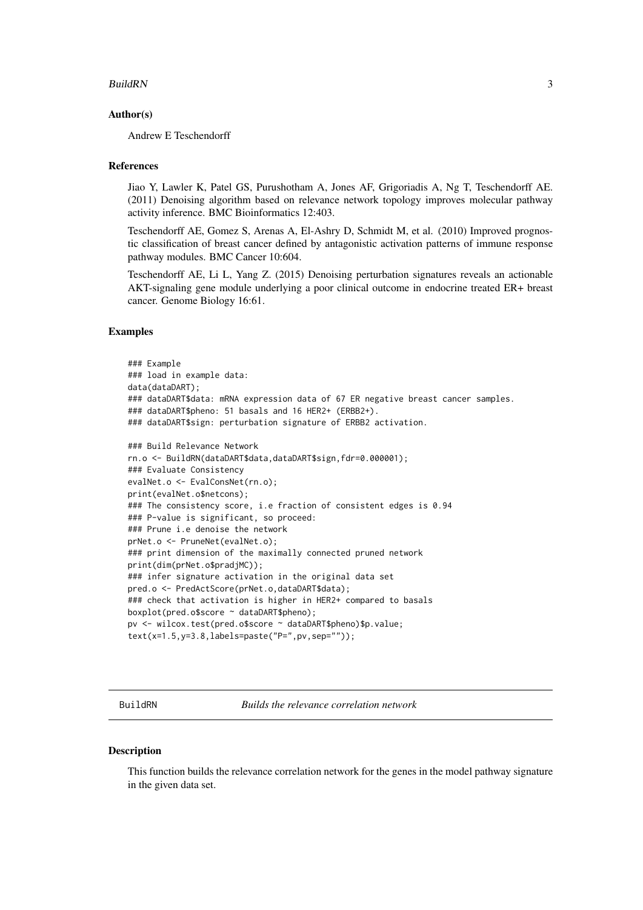#### <span id="page-2-0"></span>BuildRN 3

#### Author(s)

Andrew E Teschendorff

#### References

Jiao Y, Lawler K, Patel GS, Purushotham A, Jones AF, Grigoriadis A, Ng T, Teschendorff AE. (2011) Denoising algorithm based on relevance network topology improves molecular pathway activity inference. BMC Bioinformatics 12:403.

Teschendorff AE, Gomez S, Arenas A, El-Ashry D, Schmidt M, et al. (2010) Improved prognostic classification of breast cancer defined by antagonistic activation patterns of immune response pathway modules. BMC Cancer 10:604.

Teschendorff AE, Li L, Yang Z. (2015) Denoising perturbation signatures reveals an actionable AKT-signaling gene module underlying a poor clinical outcome in endocrine treated ER+ breast cancer. Genome Biology 16:61.

#### Examples

```
### Example
### load in example data:
data(dataDART);
### dataDART$data: mRNA expression data of 67 ER negative breast cancer samples.
### dataDART$pheno: 51 basals and 16 HER2+ (ERBB2+).
### dataDART$sign: perturbation signature of ERBB2 activation.
### Build Relevance Network
rn.o <- BuildRN(dataDART$data,dataDART$sign,fdr=0.000001);
### Evaluate Consistency
evalNet.o <- EvalConsNet(rn.o);
print(evalNet.o$netcons);
### The consistency score, i.e fraction of consistent edges is 0.94
### P-value is significant, so proceed:
### Prune i.e denoise the network
prNet.o <- PruneNet(evalNet.o);
### print dimension of the maximally connected pruned network
print(dim(prNet.o$pradjMC));
### infer signature activation in the original data set
pred.o <- PredActScore(prNet.o,dataDART$data);
### check that activation is higher in HER2+ compared to basals
boxplot(pred.o$score ~ dataDART$pheno);
pv <- wilcox.test(pred.o$score ~ dataDART$pheno)$p.value;
text(x=1.5,y=3.8,labels=paste("P=",pv,sep=""));
```
BuildRN *Builds the relevance correlation network*

#### Description

This function builds the relevance correlation network for the genes in the model pathway signature in the given data set.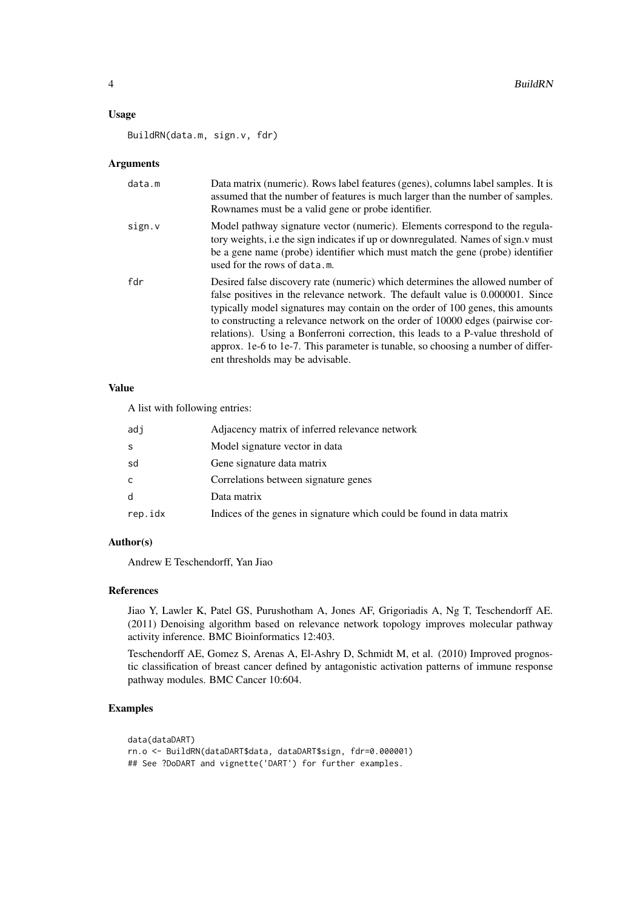#### Usage

BuildRN(data.m, sign.v, fdr)

#### Arguments

| data.m | Data matrix (numeric). Rows label features (genes), columns label samples. It is<br>assumed that the number of features is much larger than the number of samples.<br>Rownames must be a valid gene or probe identifier.                                                                                                                                                                                                                                                                                                                       |
|--------|------------------------------------------------------------------------------------------------------------------------------------------------------------------------------------------------------------------------------------------------------------------------------------------------------------------------------------------------------------------------------------------------------------------------------------------------------------------------------------------------------------------------------------------------|
| sign.v | Model pathway signature vector (numeric). Elements correspond to the regula-<br>tory weights, i.e the sign indicates if up or downregulated. Names of sign.y must<br>be a gene name (probe) identifier which must match the gene (probe) identifier<br>used for the rows of data.m.                                                                                                                                                                                                                                                            |
| fdr    | Desired false discovery rate (numeric) which determines the allowed number of<br>false positives in the relevance network. The default value is 0.000001. Since<br>typically model signatures may contain on the order of 100 genes, this amounts<br>to constructing a relevance network on the order of 10000 edges (pairwise cor-<br>relations). Using a Bonferroni correction, this leads to a P-value threshold of<br>approx. 1e-6 to 1e-7. This parameter is tunable, so choosing a number of differ-<br>ent thresholds may be advisable. |

#### Value

A list with following entries:

| adj          | Adjacency matrix of inferred relevance network                        |
|--------------|-----------------------------------------------------------------------|
| S            | Model signature vector in data                                        |
| sd           | Gene signature data matrix                                            |
| C            | Correlations between signature genes                                  |
| <sub>d</sub> | Data matrix                                                           |
| rep.idx      | Indices of the genes in signature which could be found in data matrix |

#### Author(s)

Andrew E Teschendorff, Yan Jiao

#### References

Jiao Y, Lawler K, Patel GS, Purushotham A, Jones AF, Grigoriadis A, Ng T, Teschendorff AE. (2011) Denoising algorithm based on relevance network topology improves molecular pathway activity inference. BMC Bioinformatics 12:403.

Teschendorff AE, Gomez S, Arenas A, El-Ashry D, Schmidt M, et al. (2010) Improved prognostic classification of breast cancer defined by antagonistic activation patterns of immune response pathway modules. BMC Cancer 10:604.

#### Examples

```
data(dataDART)
rn.o <- BuildRN(dataDART$data, dataDART$sign, fdr=0.000001)
## See ?DoDART and vignette('DART') for further examples.
```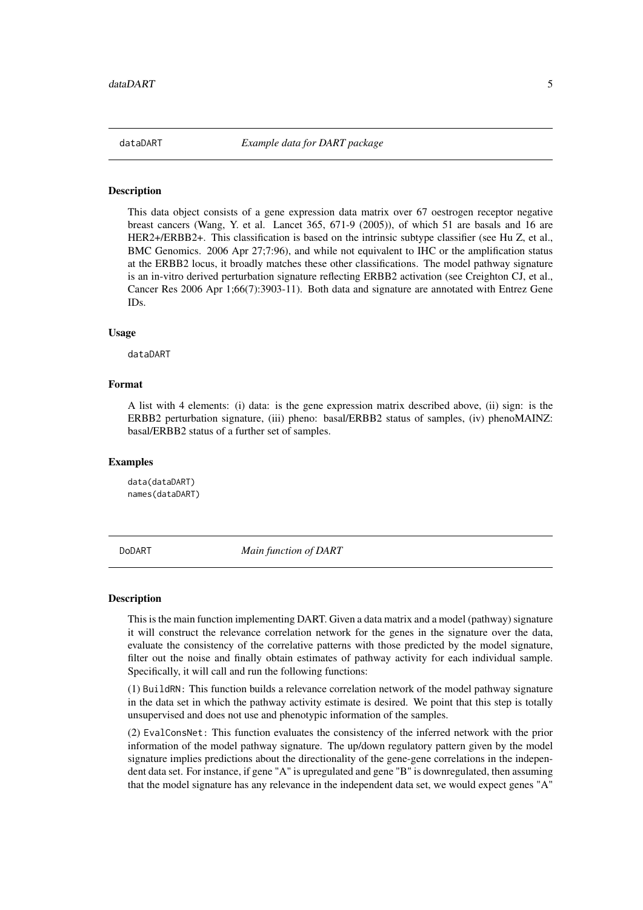#### <span id="page-4-0"></span>Description

This data object consists of a gene expression data matrix over 67 oestrogen receptor negative breast cancers (Wang, Y. et al. Lancet 365, 671-9 (2005)), of which 51 are basals and 16 are HER2+/ERBB2+. This classification is based on the intrinsic subtype classifier (see Hu Z, et al., BMC Genomics. 2006 Apr 27;7:96), and while not equivalent to IHC or the amplification status at the ERBB2 locus, it broadly matches these other classifications. The model pathway signature is an in-vitro derived perturbation signature reflecting ERBB2 activation (see Creighton CJ, et al., Cancer Res 2006 Apr 1;66(7):3903-11). Both data and signature are annotated with Entrez Gene IDs.

#### Usage

dataDART

#### Format

A list with 4 elements: (i) data: is the gene expression matrix described above, (ii) sign: is the ERBB2 perturbation signature, (iii) pheno: basal/ERBB2 status of samples, (iv) phenoMAINZ: basal/ERBB2 status of a further set of samples.

#### Examples

data(dataDART) names(dataDART)

DoDART *Main function of DART*

#### Description

This is the main function implementing DART. Given a data matrix and a model (pathway) signature it will construct the relevance correlation network for the genes in the signature over the data, evaluate the consistency of the correlative patterns with those predicted by the model signature, filter out the noise and finally obtain estimates of pathway activity for each individual sample. Specifically, it will call and run the following functions:

(1) BuildRN: This function builds a relevance correlation network of the model pathway signature in the data set in which the pathway activity estimate is desired. We point that this step is totally unsupervised and does not use and phenotypic information of the samples.

(2) EvalConsNet: This function evaluates the consistency of the inferred network with the prior information of the model pathway signature. The up/down regulatory pattern given by the model signature implies predictions about the directionality of the gene-gene correlations in the independent data set. For instance, if gene "A" is upregulated and gene "B" is downregulated, then assuming that the model signature has any relevance in the independent data set, we would expect genes "A"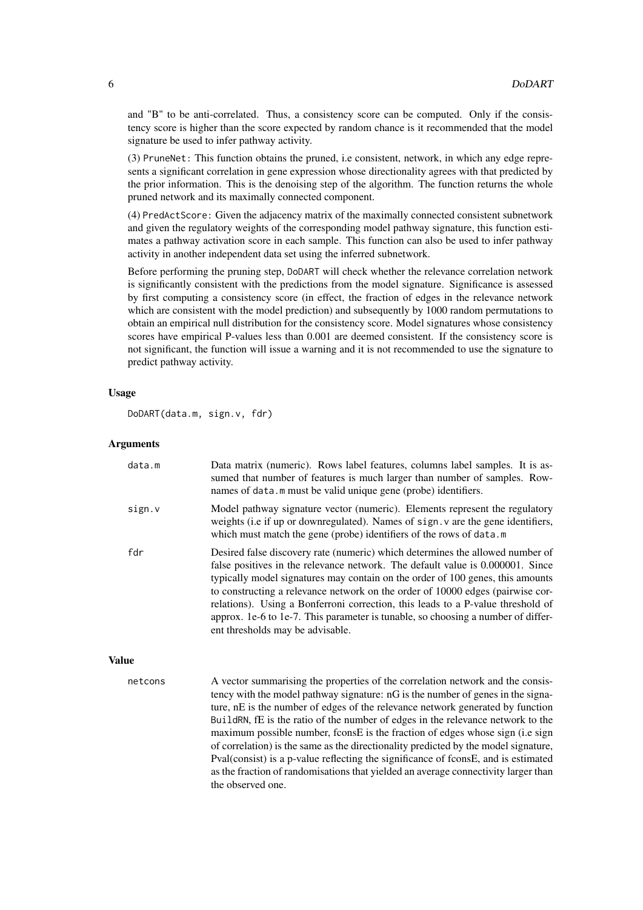and "B" to be anti-correlated. Thus, a consistency score can be computed. Only if the consistency score is higher than the score expected by random chance is it recommended that the model signature be used to infer pathway activity.

(3) PruneNet: This function obtains the pruned, i.e consistent, network, in which any edge represents a significant correlation in gene expression whose directionality agrees with that predicted by the prior information. This is the denoising step of the algorithm. The function returns the whole pruned network and its maximally connected component.

(4) PredActScore: Given the adjacency matrix of the maximally connected consistent subnetwork and given the regulatory weights of the corresponding model pathway signature, this function estimates a pathway activation score in each sample. This function can also be used to infer pathway activity in another independent data set using the inferred subnetwork.

Before performing the pruning step, DoDART will check whether the relevance correlation network is significantly consistent with the predictions from the model signature. Significance is assessed by first computing a consistency score (in effect, the fraction of edges in the relevance network which are consistent with the model prediction) and subsequently by 1000 random permutations to obtain an empirical null distribution for the consistency score. Model signatures whose consistency scores have empirical P-values less than 0.001 are deemed consistent. If the consistency score is not significant, the function will issue a warning and it is not recommended to use the signature to predict pathway activity.

#### Usage

DoDART(data.m, sign.v, fdr)

#### Arguments

| data.m       | Data matrix (numeric). Rows label features, columns label samples. It is as-<br>sumed that number of features is much larger than number of samples. Row-<br>names of data.m must be valid unique gene (probe) identifiers.                                                                                                                                                                                                                                                                                                                    |
|--------------|------------------------------------------------------------------------------------------------------------------------------------------------------------------------------------------------------------------------------------------------------------------------------------------------------------------------------------------------------------------------------------------------------------------------------------------------------------------------------------------------------------------------------------------------|
| sign.v       | Model pathway signature vector (numeric). Elements represent the regulatory<br>weights (i.e if up or downregulated). Names of sign. v are the gene identifiers,<br>which must match the gene (probe) identifiers of the rows of data.m                                                                                                                                                                                                                                                                                                         |
| fdr          | Desired false discovery rate (numeric) which determines the allowed number of<br>false positives in the relevance network. The default value is 0.000001. Since<br>typically model signatures may contain on the order of 100 genes, this amounts<br>to constructing a relevance network on the order of 10000 edges (pairwise cor-<br>relations). Using a Bonferroni correction, this leads to a P-value threshold of<br>approx. 1e-6 to 1e-7. This parameter is tunable, so choosing a number of differ-<br>ent thresholds may be advisable. |
| <b>Value</b> |                                                                                                                                                                                                                                                                                                                                                                                                                                                                                                                                                |

netcons A vector summarising the properties of the correlation network and the consistency with the model pathway signature: nG is the number of genes in the signature, nE is the number of edges of the relevance network generated by function BuildRN, fE is the ratio of the number of edges in the relevance network to the maximum possible number, fconsE is the fraction of edges whose sign (i.e sign of correlation) is the same as the directionality predicted by the model signature, Pval(consist) is a p-value reflecting the significance of fconsE, and is estimated as the fraction of randomisations that yielded an average connectivity larger than the observed one.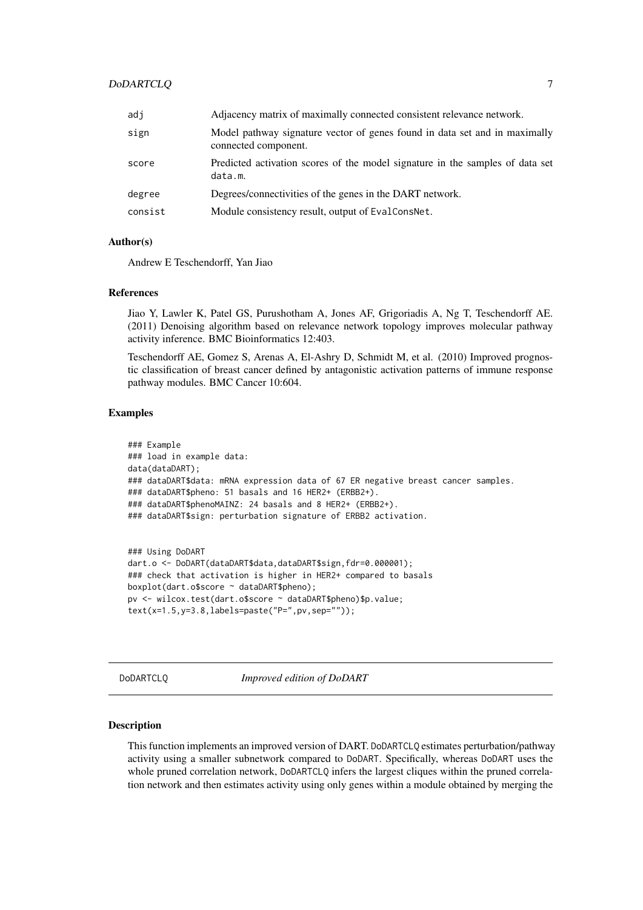#### <span id="page-6-0"></span>DoDARTCLQ 7

| adj     | Adjacency matrix of maximally connected consistent relevance network.                              |
|---------|----------------------------------------------------------------------------------------------------|
| sign    | Model pathway signature vector of genes found in data set and in maximally<br>connected component. |
| score   | Predicted activation scores of the model signature in the samples of data set<br>data.m.           |
| degree  | Degrees/connectivities of the genes in the DART network.                                           |
| consist | Module consistency result, output of EvalConsNet.                                                  |
|         |                                                                                                    |

#### Author(s)

Andrew E Teschendorff, Yan Jiao

#### References

Jiao Y, Lawler K, Patel GS, Purushotham A, Jones AF, Grigoriadis A, Ng T, Teschendorff AE. (2011) Denoising algorithm based on relevance network topology improves molecular pathway activity inference. BMC Bioinformatics 12:403.

Teschendorff AE, Gomez S, Arenas A, El-Ashry D, Schmidt M, et al. (2010) Improved prognostic classification of breast cancer defined by antagonistic activation patterns of immune response pathway modules. BMC Cancer 10:604.

#### Examples

```
### Example
### load in example data:
data(dataDART);
### dataDART$data: mRNA expression data of 67 ER negative breast cancer samples.
### dataDART$pheno: 51 basals and 16 HER2+ (ERBB2+).
### dataDART$phenoMAINZ: 24 basals and 8 HER2+ (ERBB2+).
### dataDART$sign: perturbation signature of ERBB2 activation.
### Using DoDART
```

```
dart.o <- DoDART(dataDART$data,dataDART$sign,fdr=0.000001);
### check that activation is higher in HER2+ compared to basals
boxplot(dart.o$score ~ dataDART$pheno);
pv <- wilcox.test(dart.o$score ~ dataDART$pheno)$p.value;
text(x=1.5,y=3.8,labels=paste("P=",pv,sep=""));
```
DoDARTCLQ *Improved edition of DoDART*

#### Description

This function implements an improved version of DART. DoDARTCLQ estimates perturbation/pathway activity using a smaller subnetwork compared to DoDART. Specifically, whereas DoDART uses the whole pruned correlation network, DoDARTCLQ infers the largest cliques within the pruned correlation network and then estimates activity using only genes within a module obtained by merging the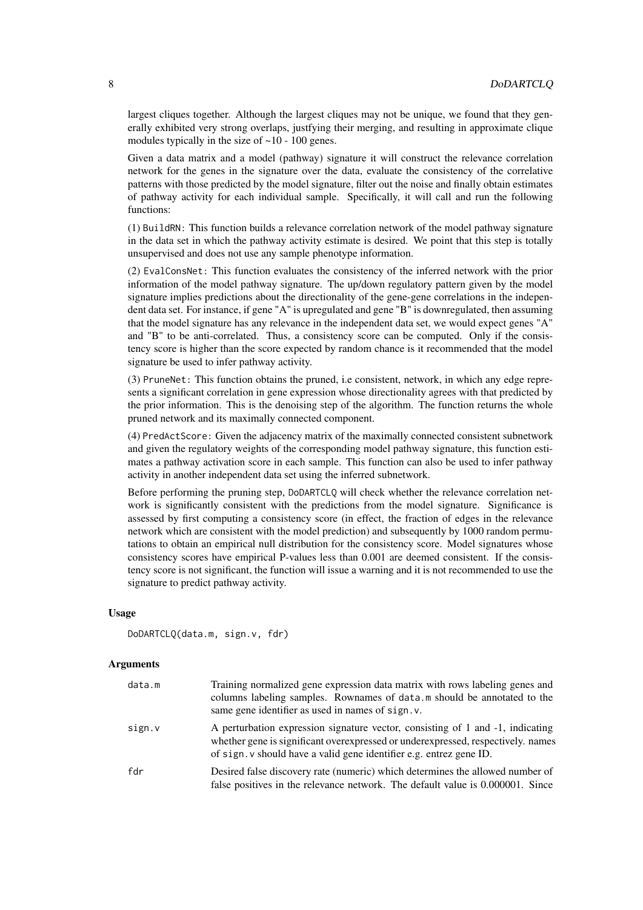largest cliques together. Although the largest cliques may not be unique, we found that they generally exhibited very strong overlaps, justfying their merging, and resulting in approximate clique modules typically in the size of ~10 - 100 genes.

Given a data matrix and a model (pathway) signature it will construct the relevance correlation network for the genes in the signature over the data, evaluate the consistency of the correlative patterns with those predicted by the model signature, filter out the noise and finally obtain estimates of pathway activity for each individual sample. Specifically, it will call and run the following functions:

(1) BuildRN: This function builds a relevance correlation network of the model pathway signature in the data set in which the pathway activity estimate is desired. We point that this step is totally unsupervised and does not use any sample phenotype information.

(2) EvalConsNet: This function evaluates the consistency of the inferred network with the prior information of the model pathway signature. The up/down regulatory pattern given by the model signature implies predictions about the directionality of the gene-gene correlations in the independent data set. For instance, if gene "A" is upregulated and gene "B" is downregulated, then assuming that the model signature has any relevance in the independent data set, we would expect genes "A" and "B" to be anti-correlated. Thus, a consistency score can be computed. Only if the consistency score is higher than the score expected by random chance is it recommended that the model signature be used to infer pathway activity.

(3) PruneNet: This function obtains the pruned, i.e consistent, network, in which any edge represents a significant correlation in gene expression whose directionality agrees with that predicted by the prior information. This is the denoising step of the algorithm. The function returns the whole pruned network and its maximally connected component.

(4) PredActScore: Given the adjacency matrix of the maximally connected consistent subnetwork and given the regulatory weights of the corresponding model pathway signature, this function estimates a pathway activation score in each sample. This function can also be used to infer pathway activity in another independent data set using the inferred subnetwork.

Before performing the pruning step, DoDARTCLQ will check whether the relevance correlation network is significantly consistent with the predictions from the model signature. Significance is assessed by first computing a consistency score (in effect, the fraction of edges in the relevance network which are consistent with the model prediction) and subsequently by 1000 random permutations to obtain an empirical null distribution for the consistency score. Model signatures whose consistency scores have empirical P-values less than 0.001 are deemed consistent. If the consistency score is not significant, the function will issue a warning and it is not recommended to use the signature to predict pathway activity.

#### Usage

```
DoDARTCLQ(data.m, sign.v, fdr)
```
#### Arguments

| data.m | Training normalized gene expression data matrix with rows labeling genes and<br>columns labeling samples. Rownames of data.m should be annotated to the<br>same gene identifier as used in names of sign. v.                              |
|--------|-------------------------------------------------------------------------------------------------------------------------------------------------------------------------------------------------------------------------------------------|
| sign.v | A perturbation expression signature vector, consisting of 1 and -1, indicating<br>whether gene is significant overexpressed or underexpressed, respectively. names<br>of sign. v should have a valid gene identifier e.g. entrez gene ID. |
| fdr    | Desired false discovery rate (numeric) which determines the allowed number of<br>false positives in the relevance network. The default value is 0.000001. Since                                                                           |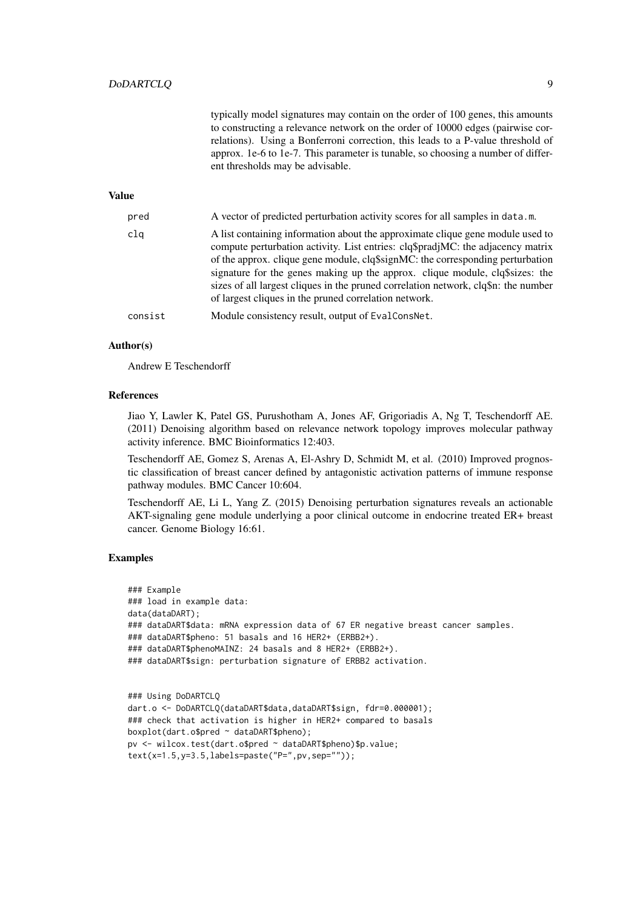|              | typically model signatures may contain on the order of 100 genes, this amounts<br>to constructing a relevance network on the order of 10000 edges (pairwise cor-<br>relations). Using a Bonferroni correction, this leads to a P-value threshold of<br>approx. 1e-6 to 1e-7. This parameter is tunable, so choosing a number of differ-<br>ent thresholds may be advisable.                                                                                                        |
|--------------|------------------------------------------------------------------------------------------------------------------------------------------------------------------------------------------------------------------------------------------------------------------------------------------------------------------------------------------------------------------------------------------------------------------------------------------------------------------------------------|
| <b>Value</b> |                                                                                                                                                                                                                                                                                                                                                                                                                                                                                    |
| pred         | A vector of predicted perturbation activity scores for all samples in data.m.                                                                                                                                                                                                                                                                                                                                                                                                      |
| clq          | A list containing information about the approximate clique gene module used to<br>compute perturbation activity. List entries: clq\$pradjMC: the adjacency matrix<br>of the approx. clique gene module, clq\$signMC: the corresponding perturbation<br>signature for the genes making up the approx. clique module, clq\$sizes: the<br>sizes of all largest cliques in the pruned correlation network, clq\$n: the number<br>of largest cliques in the pruned correlation network. |
| consist      | Module consistency result, output of EvalConsNet.                                                                                                                                                                                                                                                                                                                                                                                                                                  |

#### Author(s)

Andrew E Teschendorff

#### References

Jiao Y, Lawler K, Patel GS, Purushotham A, Jones AF, Grigoriadis A, Ng T, Teschendorff AE. (2011) Denoising algorithm based on relevance network topology improves molecular pathway activity inference. BMC Bioinformatics 12:403.

Teschendorff AE, Gomez S, Arenas A, El-Ashry D, Schmidt M, et al. (2010) Improved prognostic classification of breast cancer defined by antagonistic activation patterns of immune response pathway modules. BMC Cancer 10:604.

Teschendorff AE, Li L, Yang Z. (2015) Denoising perturbation signatures reveals an actionable AKT-signaling gene module underlying a poor clinical outcome in endocrine treated ER+ breast cancer. Genome Biology 16:61.

#### Examples

```
### Example
### load in example data:
data(dataDART);
### dataDART$data: mRNA expression data of 67 ER negative breast cancer samples.
### dataDART$pheno: 51 basals and 16 HER2+ (ERBB2+).
### dataDART$phenoMAINZ: 24 basals and 8 HER2+ (ERBB2+).
### dataDART$sign: perturbation signature of ERBB2 activation.
### Using DoDARTCLQ
dart.o <- DoDARTCLQ(dataDART$data,dataDART$sign, fdr=0.000001);
### check that activation is higher in HER2+ compared to basals
```

```
boxplot(dart.o$pred ~ dataDART$pheno);
pv <- wilcox.test(dart.o$pred ~ dataDART$pheno)$p.value;
```

```
text(x=1.5,y=3.5,labels=paste("P=",pv,sep=""));
```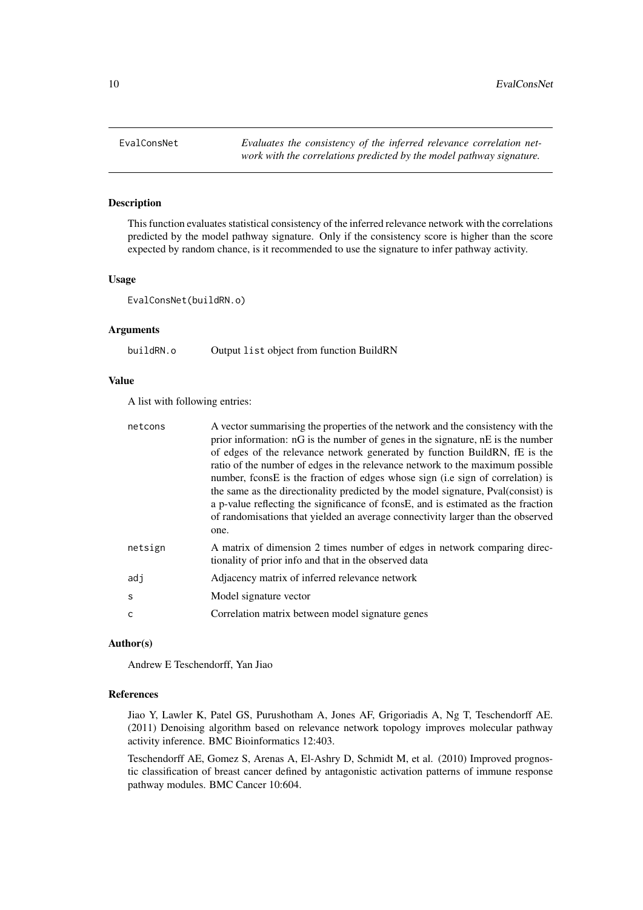#### <span id="page-9-0"></span>Description

This function evaluates statistical consistency of the inferred relevance network with the correlations predicted by the model pathway signature. Only if the consistency score is higher than the score expected by random chance, is it recommended to use the signature to infer pathway activity.

#### Usage

EvalConsNet(buildRN.o)

#### Arguments

buildRN.o Output list object from function BuildRN

#### Value

A list with following entries:

| netcons       | A vector summarising the properties of the network and the consistency with the<br>prior information: nG is the number of genes in the signature, nE is the number<br>of edges of the relevance network generated by function BuildRN, fE is the<br>ratio of the number of edges in the relevance network to the maximum possible<br>number, fconsE is the fraction of edges whose sign (i.e sign of correlation) is<br>the same as the directionality predicted by the model signature, Pval(consist) is<br>a p-value reflecting the significance of fconsE, and is estimated as the fraction<br>of randomisations that yielded an average connectivity larger than the observed<br>one. |
|---------------|-------------------------------------------------------------------------------------------------------------------------------------------------------------------------------------------------------------------------------------------------------------------------------------------------------------------------------------------------------------------------------------------------------------------------------------------------------------------------------------------------------------------------------------------------------------------------------------------------------------------------------------------------------------------------------------------|
| netsign       | A matrix of dimension 2 times number of edges in network comparing direc-<br>tionality of prior info and that in the observed data                                                                                                                                                                                                                                                                                                                                                                                                                                                                                                                                                        |
| adj           | Adjacency matrix of inferred relevance network                                                                                                                                                                                                                                                                                                                                                                                                                                                                                                                                                                                                                                            |
| $\mathcal{S}$ | Model signature vector                                                                                                                                                                                                                                                                                                                                                                                                                                                                                                                                                                                                                                                                    |
| C             | Correlation matrix between model signature genes                                                                                                                                                                                                                                                                                                                                                                                                                                                                                                                                                                                                                                          |

#### Author(s)

Andrew E Teschendorff, Yan Jiao

#### References

Jiao Y, Lawler K, Patel GS, Purushotham A, Jones AF, Grigoriadis A, Ng T, Teschendorff AE. (2011) Denoising algorithm based on relevance network topology improves molecular pathway activity inference. BMC Bioinformatics 12:403.

Teschendorff AE, Gomez S, Arenas A, El-Ashry D, Schmidt M, et al. (2010) Improved prognostic classification of breast cancer defined by antagonistic activation patterns of immune response pathway modules. BMC Cancer 10:604.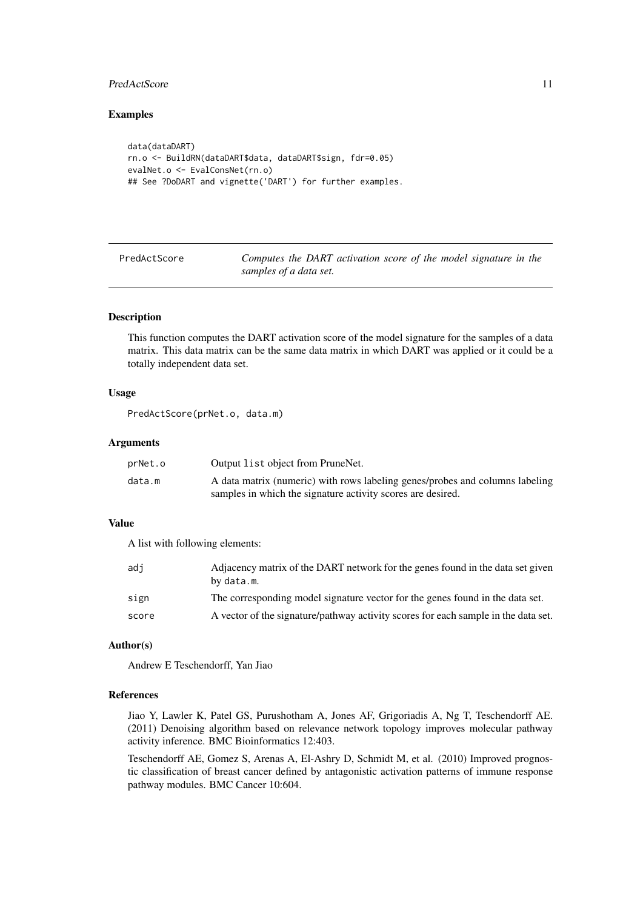#### <span id="page-10-0"></span>PredActScore 11

#### Examples

```
data(dataDART)
rn.o <- BuildRN(dataDART$data, dataDART$sign, fdr=0.05)
evalNet.o <- EvalConsNet(rn.o)
## See ?DoDART and vignette('DART') for further examples.
```
PredActScore *Computes the DART activation score of the model signature in the samples of a data set.*

#### Description

This function computes the DART activation score of the model signature for the samples of a data matrix. This data matrix can be the same data matrix in which DART was applied or it could be a totally independent data set.

#### Usage

```
PredActScore(prNet.o, data.m)
```
#### Arguments

| prNet.o | Output list object from PruneNet.                                            |
|---------|------------------------------------------------------------------------------|
| data.m  | A data matrix (numeric) with rows labeling genes/probes and columns labeling |
|         | samples in which the signature activity scores are desired.                  |

#### Value

A list with following elements:

| adi   | Adjacency matrix of the DART network for the genes found in the data set given<br>by data.m. |
|-------|----------------------------------------------------------------------------------------------|
| sign  | The corresponding model signature vector for the genes found in the data set.                |
| score | A vector of the signature/pathway activity scores for each sample in the data set.           |

#### Author(s)

Andrew E Teschendorff, Yan Jiao

#### References

Jiao Y, Lawler K, Patel GS, Purushotham A, Jones AF, Grigoriadis A, Ng T, Teschendorff AE. (2011) Denoising algorithm based on relevance network topology improves molecular pathway activity inference. BMC Bioinformatics 12:403.

Teschendorff AE, Gomez S, Arenas A, El-Ashry D, Schmidt M, et al. (2010) Improved prognostic classification of breast cancer defined by antagonistic activation patterns of immune response pathway modules. BMC Cancer 10:604.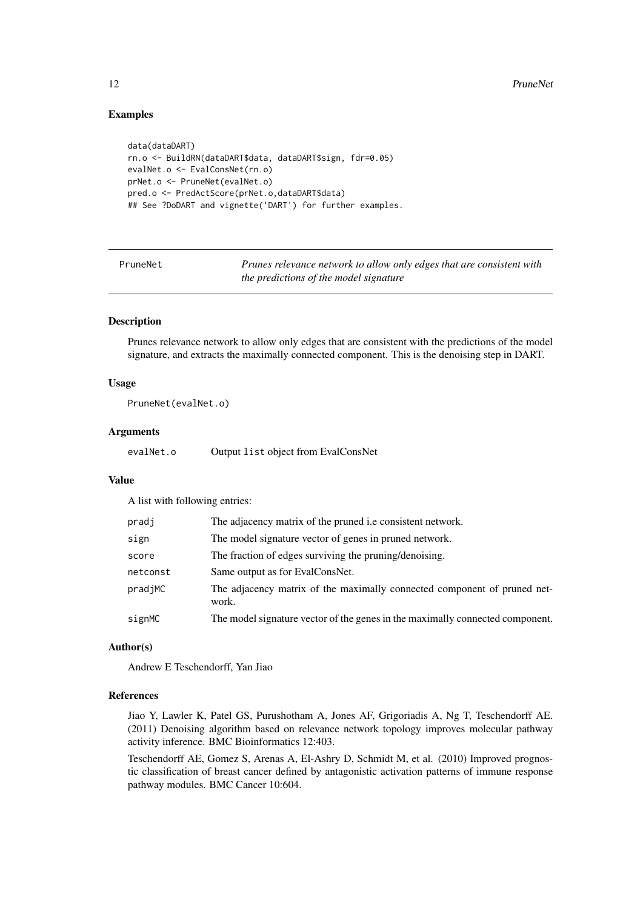#### Examples

```
data(dataDART)
rn.o <- BuildRN(dataDART$data, dataDART$sign, fdr=0.05)
evalNet.o <- EvalConsNet(rn.o)
prNet.o <- PruneNet(evalNet.o)
pred.o <- PredActScore(prNet.o,dataDART$data)
## See ?DoDART and vignette('DART') for further examples.
```
PruneNet *Prunes relevance network to allow only edges that are consistent with the predictions of the model signature*

#### Description

Prunes relevance network to allow only edges that are consistent with the predictions of the model signature, and extracts the maximally connected component. This is the denoising step in DART.

#### Usage

PruneNet(evalNet.o)

#### Arguments

evalNet.o Output list object from EvalConsNet

#### Value

A list with following entries:

| pradj    | The adjacency matrix of the pruned i.e consistent network.                        |
|----------|-----------------------------------------------------------------------------------|
| sign     | The model signature vector of genes in pruned network.                            |
| score    | The fraction of edges surviving the pruning/denoising.                            |
| netconst | Same output as for EvalConsNet.                                                   |
| pradjMC  | The adjacency matrix of the maximally connected component of pruned net-<br>work. |
| signMC   | The model signature vector of the genes in the maximally connected component.     |
|          |                                                                                   |

#### Author(s)

Andrew E Teschendorff, Yan Jiao

#### References

Jiao Y, Lawler K, Patel GS, Purushotham A, Jones AF, Grigoriadis A, Ng T, Teschendorff AE. (2011) Denoising algorithm based on relevance network topology improves molecular pathway activity inference. BMC Bioinformatics 12:403.

Teschendorff AE, Gomez S, Arenas A, El-Ashry D, Schmidt M, et al. (2010) Improved prognostic classification of breast cancer defined by antagonistic activation patterns of immune response pathway modules. BMC Cancer 10:604.

<span id="page-11-0"></span>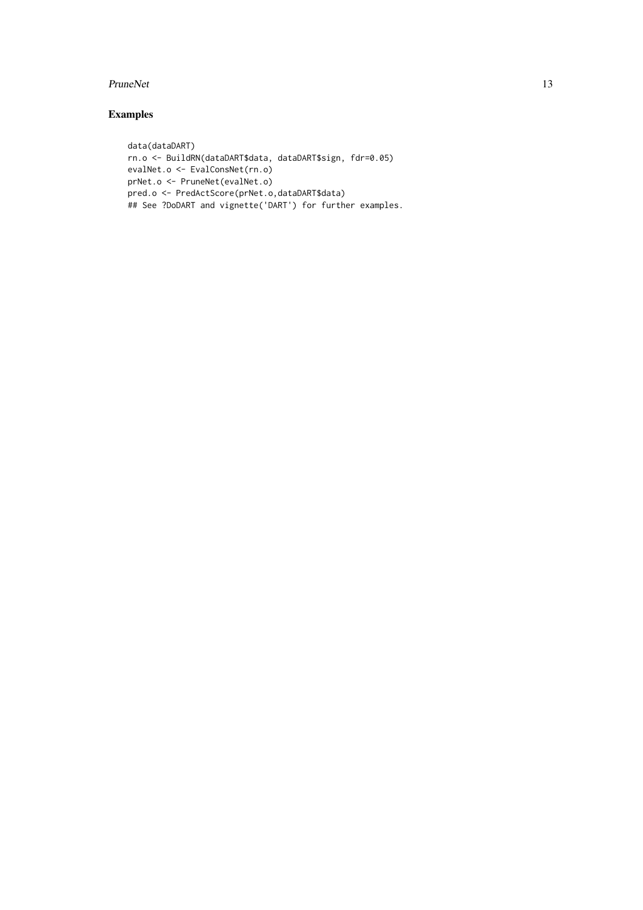#### PruneNet 13

### Examples

```
data(dataDART)
rn.o <- BuildRN(dataDART$data, dataDART$sign, fdr=0.05)
evalNet.o <- EvalConsNet(rn.o)
prNet.o <- PruneNet(evalNet.o)
pred.o <- PredActScore(prNet.o,dataDART$data)
## See ?DoDART and vignette('DART') for further examples.
```